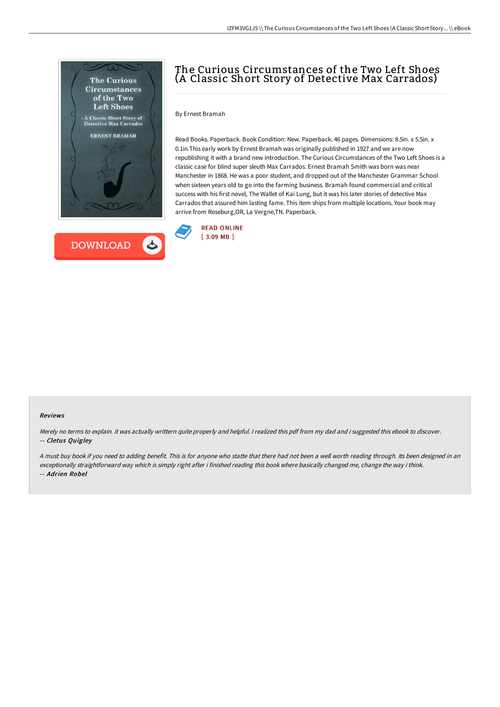



# The Curious Circumstances of the Two Left Shoes (A Classic Short Story of Detective Max Carrados)

By Ernest Bramah

Read Books. Paperback. Book Condition: New. Paperback. 46 pages. Dimensions: 8.5in. x 5.5in. x 0.1in.This early work by Ernest Bramah was originally published in 1927 and we are now republishing it with a brand new introduction. The Curious Circumstances of the Two Left Shoes is a classic case for blind super sleuth Max Carrados. Ernest Bramah Smith was born was near Manchester in 1868. He was a poor student, and dropped out of the Manchester Grammar School when sixteen years old to go into the farming business. Bramah found commercial and critical success with his first novel, The Wallet of Kai Lung, but it was his later stories of detective Max Carrados that assured him lasting fame. This item ships from multiple locations. Your book may arrive from Roseburg,OR, La Vergne,TN. Paperback.



#### Reviews

Merely no terms to explain. it was actually writtern quite properly and helpful. <sup>I</sup> realized this pdf from my dad and i suggested this ebook to discover. -- Cletus Quigley

<sup>A</sup> must buy book if you need to adding benefit. This is for anyone who statte that there had not been <sup>a</sup> well worth reading through. Its been designed in an exceptionally straightforward way which is simply right after i finished reading this book where basically changed me, change the way i think. -- Adrien Robel